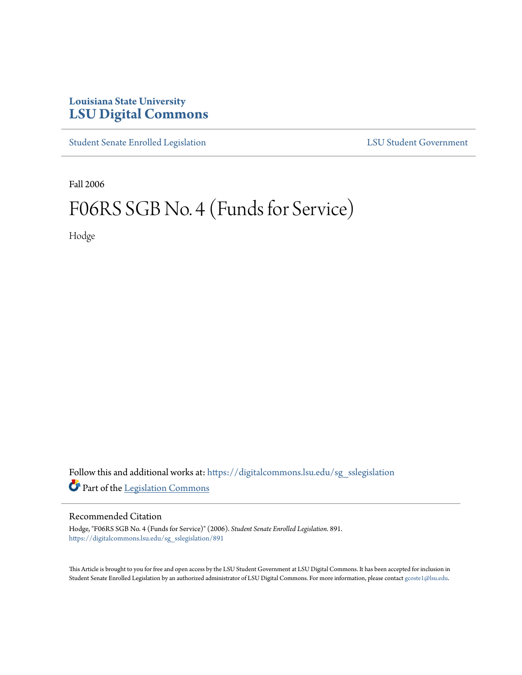## **Louisiana State University [LSU Digital Commons](https://digitalcommons.lsu.edu?utm_source=digitalcommons.lsu.edu%2Fsg_sslegislation%2F891&utm_medium=PDF&utm_campaign=PDFCoverPages)**

[Student Senate Enrolled Legislation](https://digitalcommons.lsu.edu/sg_sslegislation?utm_source=digitalcommons.lsu.edu%2Fsg_sslegislation%2F891&utm_medium=PDF&utm_campaign=PDFCoverPages) [LSU Student Government](https://digitalcommons.lsu.edu/sg?utm_source=digitalcommons.lsu.edu%2Fsg_sslegislation%2F891&utm_medium=PDF&utm_campaign=PDFCoverPages)

Fall 2006

## F06RS SGB No. 4 (Funds for Service)

Hodge

Follow this and additional works at: [https://digitalcommons.lsu.edu/sg\\_sslegislation](https://digitalcommons.lsu.edu/sg_sslegislation?utm_source=digitalcommons.lsu.edu%2Fsg_sslegislation%2F891&utm_medium=PDF&utm_campaign=PDFCoverPages) Part of the [Legislation Commons](http://network.bepress.com/hgg/discipline/859?utm_source=digitalcommons.lsu.edu%2Fsg_sslegislation%2F891&utm_medium=PDF&utm_campaign=PDFCoverPages)

## Recommended Citation

Hodge, "F06RS SGB No. 4 (Funds for Service)" (2006). *Student Senate Enrolled Legislation*. 891. [https://digitalcommons.lsu.edu/sg\\_sslegislation/891](https://digitalcommons.lsu.edu/sg_sslegislation/891?utm_source=digitalcommons.lsu.edu%2Fsg_sslegislation%2F891&utm_medium=PDF&utm_campaign=PDFCoverPages)

This Article is brought to you for free and open access by the LSU Student Government at LSU Digital Commons. It has been accepted for inclusion in Student Senate Enrolled Legislation by an authorized administrator of LSU Digital Commons. For more information, please contact [gcoste1@lsu.edu.](mailto:gcoste1@lsu.edu)